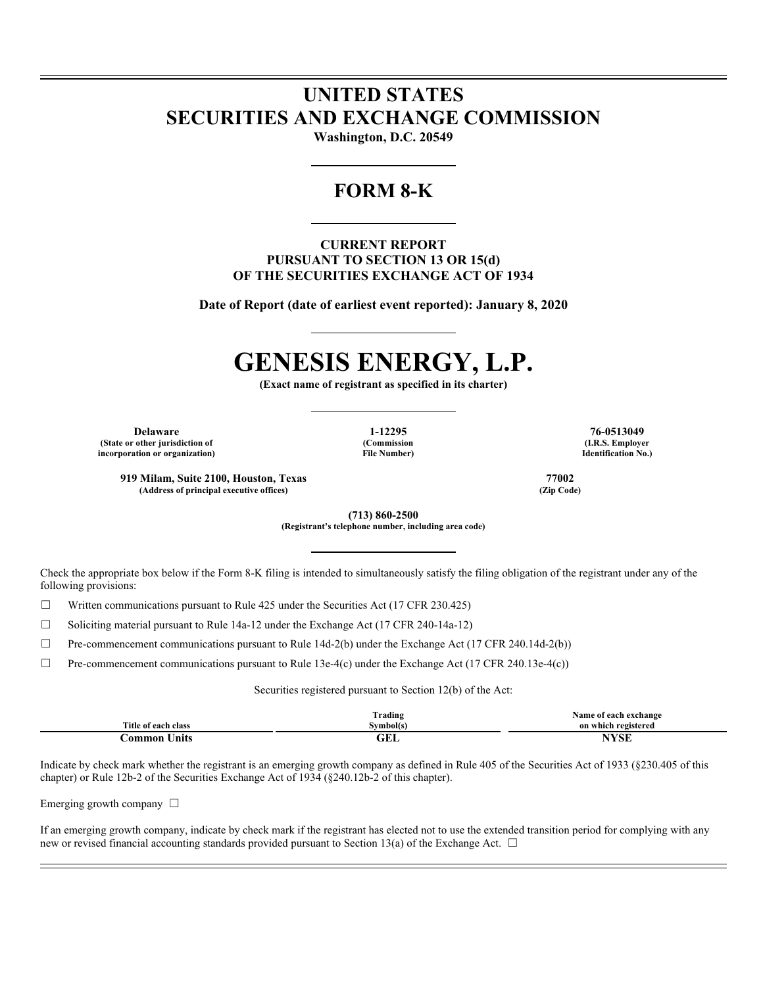## **UNITED STATES SECURITIES AND EXCHANGE COMMISSION**

**Washington, D.C. 20549** 

## **FORM 8-K**

### **CURRENT REPORT PURSUANT TO SECTION 13 OR 15(d) OF THE SECURITIES EXCHANGE ACT OF 1934**

**Date of Report (date of earliest event reported): January 8, 2020** 

# **GENESIS ENERGY, L.P.**

**(Exact name of registrant as specified in its charter)** 

**Delaware 1-12295 76-0513049 (State or other jurisdiction of incorporation or organization)** 

**(Commission File Number)** 

**(I.R.S. Employer Identification No.)** 

**919 Milam, Suite 2100, Houston, Texas 77002**  (Address of principal executive offices)

> **(713) 860-2500 (Registrant's telephone number, including area code)**

Check the appropriate box below if the Form 8-K filing is intended to simultaneously satisfy the filing obligation of the registrant under any of the following provisions:

 $\Box$  Written communications pursuant to Rule 425 under the Securities Act (17 CFR 230.425)

 $\Box$  Soliciting material pursuant to Rule 14a-12 under the Exchange Act (17 CFR 240-14a-12)

☐ Pre-commencement communications pursuant to Rule 14d-2(b) under the Exchange Act (17 CFR 240.14d-2(b))

 $\Box$  Pre-commencement communications pursuant to Rule 13e-4(c) under the Exchange Act (17 CFR 240.13e-4(c))

Securities registered pursuant to Section 12(b) of the Act:

|                     | <b>Trading</b> | Name of each exchange |
|---------------------|----------------|-----------------------|
| Title of each class | Symbol(s)      | on which registered   |
| Common Units        | ull            | NYSE                  |

Indicate by check mark whether the registrant is an emerging growth company as defined in Rule 405 of the Securities Act of 1933 (§230.405 of this chapter) or Rule 12b-2 of the Securities Exchange Act of 1934 (§240.12b-2 of this chapter).

Emerging growth company  $\Box$ 

If an emerging growth company, indicate by check mark if the registrant has elected not to use the extended transition period for complying with any new or revised financial accounting standards provided pursuant to Section 13(a) of the Exchange Act.  $\Box$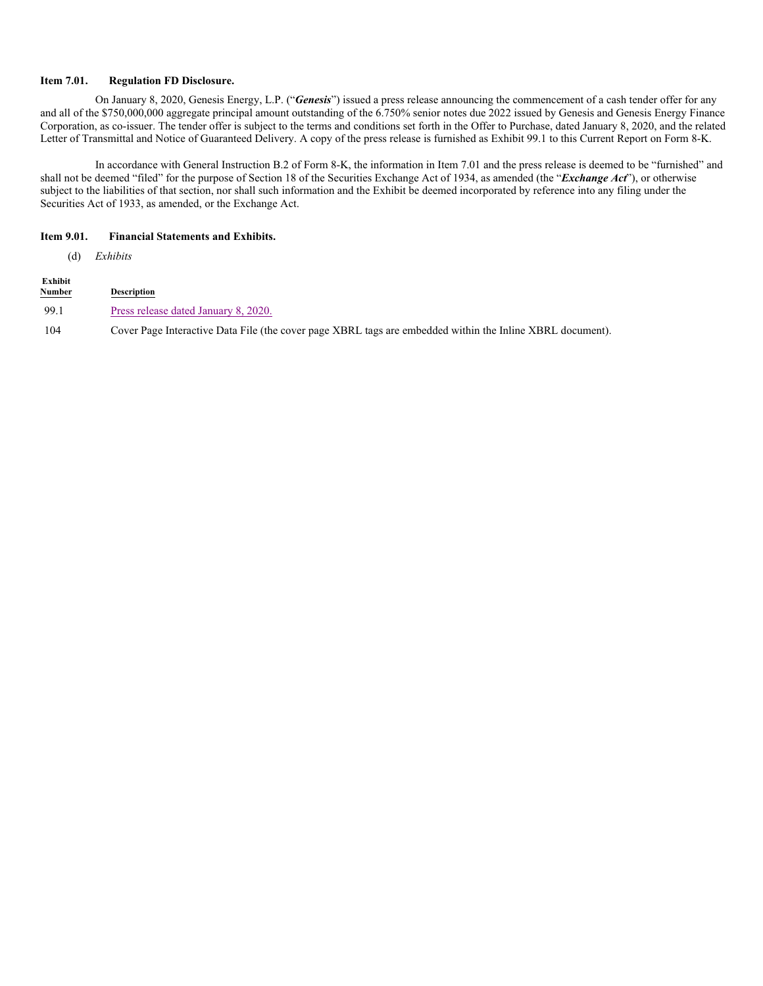#### **Item 7.01. Regulation FD Disclosure.**

On January 8, 2020, Genesis Energy, L.P. ("*Genesis*") issued a press release announcing the commencement of a cash tender offer for any and all of the \$750,000,000 aggregate principal amount outstanding of the 6.750% senior notes due 2022 issued by Genesis and Genesis Energy Finance Corporation, as co-issuer. The tender offer is subject to the terms and conditions set forth in the Offer to Purchase, dated January 8, 2020, and the related Letter of Transmittal and Notice of Guaranteed Delivery. A copy of the press release is furnished as Exhibit 99.1 to this Current Report on Form 8-K.

In accordance with General Instruction B.2 of Form 8-K, the information in Item 7.01 and the press release is deemed to be "furnished" and shall not be deemed "filed" for the purpose of Section 18 of the Securities Exchange Act of 1934, as amended (the "*Exchange Act*"), or otherwise subject to the liabilities of that section, nor shall such information and the Exhibit be deemed incorporated by reference into any filing under the Securities Act of 1933, as amended, or the Exchange Act.

#### **Item 9.01. Financial Statements and Exhibits.**

(d) *Exhibits*

| Exhibit<br><b>Number</b> | Description                                                                                               |
|--------------------------|-----------------------------------------------------------------------------------------------------------|
| 99.1                     | Press release dated January 8, 2020.                                                                      |
| 104                      | Cover Page Interactive Data File (the cover page XBRL tags are embedded within the Inline XBRL document). |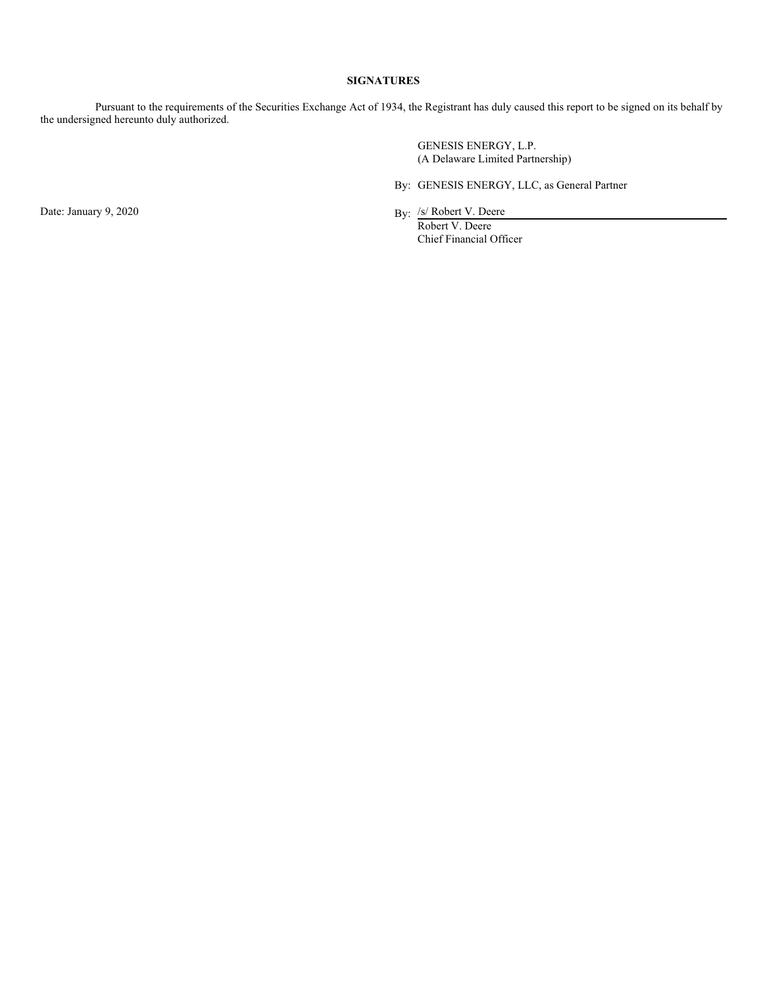#### **SIGNATURES**

Pursuant to the requirements of the Securities Exchange Act of 1934, the Registrant has duly caused this report to be signed on its behalf by the undersigned hereunto duly authorized.

> GENESIS ENERGY, L.P. (A Delaware Limited Partnership)

By: GENESIS ENERGY, LLC, as General Partner

Date: January 9, 2020 By: /s/ Robert V. Deere

Robert V. Deere Chief Financial Officer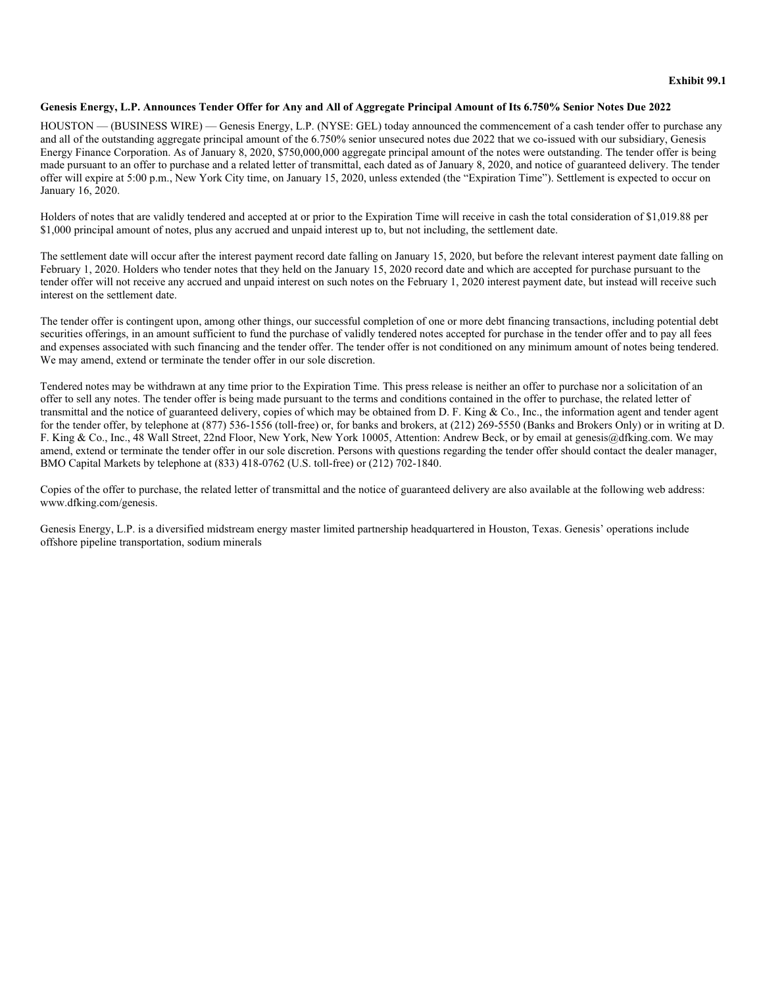#### **Genesis Energy, L.P. Announces Tender Offer for Any and All of Aggregate Principal Amount of Its 6.750% Senior Notes Due 2022**

HOUSTON — (BUSINESS WIRE) — Genesis Energy, L.P. (NYSE: GEL) today announced the commencement of a cash tender offer to purchase any and all of the outstanding aggregate principal amount of the 6.750% senior unsecured notes due 2022 that we co-issued with our subsidiary, Genesis Energy Finance Corporation. As of January 8, 2020, \$750,000,000 aggregate principal amount of the notes were outstanding. The tender offer is being made pursuant to an offer to purchase and a related letter of transmittal, each dated as of January 8, 2020, and notice of guaranteed delivery. The tender offer will expire at 5:00 p.m., New York City time, on January 15, 2020, unless extended (the "Expiration Time"). Settlement is expected to occur on January 16, 2020.

Holders of notes that are validly tendered and accepted at or prior to the Expiration Time will receive in cash the total consideration of \$1,019.88 per \$1,000 principal amount of notes, plus any accrued and unpaid interest up to, but not including, the settlement date.

The settlement date will occur after the interest payment record date falling on January 15, 2020, but before the relevant interest payment date falling on February 1, 2020. Holders who tender notes that they held on the January 15, 2020 record date and which are accepted for purchase pursuant to the tender offer will not receive any accrued and unpaid interest on such notes on the February 1, 2020 interest payment date, but instead will receive such interest on the settlement date.

The tender offer is contingent upon, among other things, our successful completion of one or more debt financing transactions, including potential debt securities offerings, in an amount sufficient to fund the purchase of validly tendered notes accepted for purchase in the tender offer and to pay all fees and expenses associated with such financing and the tender offer. The tender offer is not conditioned on any minimum amount of notes being tendered. We may amend, extend or terminate the tender offer in our sole discretion.

Tendered notes may be withdrawn at any time prior to the Expiration Time. This press release is neither an offer to purchase nor a solicitation of an offer to sell any notes. The tender offer is being made pursuant to the terms and conditions contained in the offer to purchase, the related letter of transmittal and the notice of guaranteed delivery, copies of which may be obtained from D. F. King & Co., Inc., the information agent and tender agent for the tender offer, by telephone at (877) 536-1556 (toll-free) or, for banks and brokers, at (212) 269-5550 (Banks and Brokers Only) or in writing at D. F. King & Co., Inc., 48 Wall Street, 22nd Floor, New York, New York 10005, Attention: Andrew Beck, or by email at genesis@dfking.com. We may amend, extend or terminate the tender offer in our sole discretion. Persons with questions regarding the tender offer should contact the dealer manager, BMO Capital Markets by telephone at (833) 418-0762 (U.S. toll-free) or (212) 702-1840.

Copies of the offer to purchase, the related letter of transmittal and the notice of guaranteed delivery are also available at the following web address: www.dfking.com/genesis.

Genesis Energy, L.P. is a diversified midstream energy master limited partnership headquartered in Houston, Texas. Genesis' operations include offshore pipeline transportation, sodium minerals